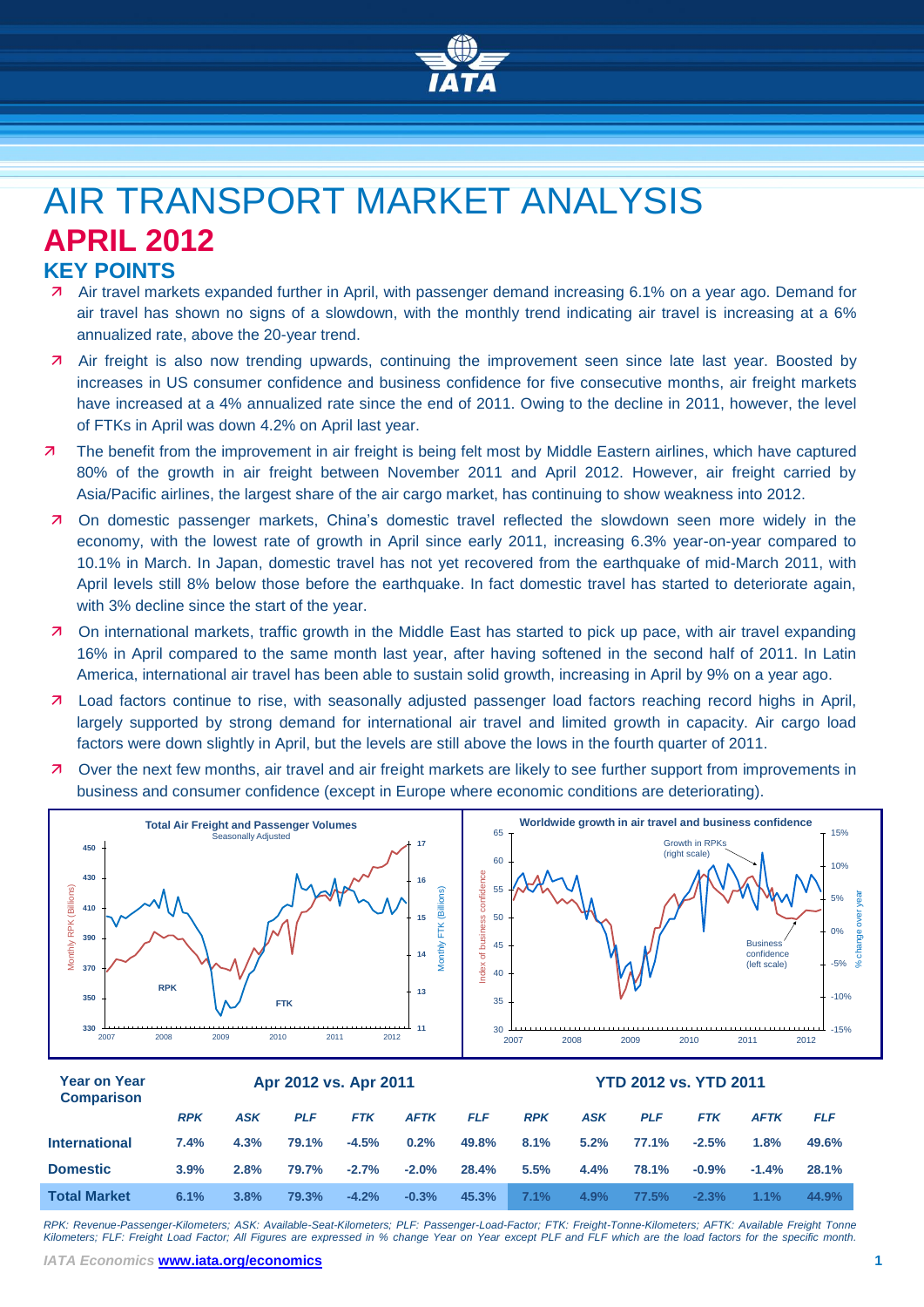

# AIR TRANSPORT MARKET ANALYSIS **APRIL 2012 KEY POINTS**

- Air travel markets expanded further in April, with passenger demand increasing 6.1% on a year ago. Demand for air travel has shown no signs of a slowdown, with the monthly trend indicating air travel is increasing at a 6% annualized rate, above the 20-year trend.
- Air freight is also now trending upwards, continuing the improvement seen since late last year. Boosted by increases in US consumer confidence and business confidence for five consecutive months, air freight markets have increased at a 4% annualized rate since the end of 2011. Owing to the decline in 2011, however, the level of FTKs in April was down 4.2% on April last year.
- The benefit from the improvement in air freight is being felt most by Middle Eastern airlines, which have captured 80% of the growth in air freight between November 2011 and April 2012. However, air freight carried by Asia/Pacific airlines, the largest share of the air cargo market, has continuing to show weakness into 2012.
- On domestic passenger markets, China's domestic travel reflected the slowdown seen more widely in the economy, with the lowest rate of growth in April since early 2011, increasing 6.3% year-on-year compared to 10.1% in March. In Japan, domestic travel has not yet recovered from the earthquake of mid-March 2011, with April levels still 8% below those before the earthquake. In fact domestic travel has started to deteriorate again, with 3% decline since the start of the year.
- On international markets, traffic growth in the Middle East has started to pick up pace, with air travel expanding 16% in April compared to the same month last year, after having softened in the second half of 2011. In Latin America, international air travel has been able to sustain solid growth, increasing in April by 9% on a year ago.
- Load factors continue to rise, with seasonally adjusted passenger load factors reaching record highs in April, largely supported by strong demand for international air travel and limited growth in capacity. Air cargo load factors were down slightly in April, but the levels are still above the lows in the fourth quarter of 2011.
- Over the next few months, air travel and air freight markets are likely to see further support from improvements in business and consumer confidence (except in Europe where economic conditions are deteriorating).



### **Year on Year Comparison Apr 2012 vs. Apr 2011 YTD 2012 vs. YTD 2011** *RPK ASK PLF FTK AFTK FLF RPK ASK PLF FTK AFTK FLF* **International 7.4% 4.3% 79.1% -4.5% 0.2% 49.8% 8.1% 5.2% 77.1% -2.5% 1.8% 49.6% Domestic 3.9% 2.8% 79.7% -2.7% -2.0% 28.4% 5.5% 4.4% 78.1% -0.9% -1.4% 28.1% Total Market 6.1% 3.8% 79.3% -4.2% -0.3% 45.3% 7.1% 4.9% 77.5% -2.3% 1.1% 44.9%**

*RPK: Revenue-Passenger-Kilometers; ASK: Available-Seat-Kilometers; PLF: Passenger-Load-Factor; FTK: Freight-Tonne-Kilometers; AFTK: Available Freight Tonne Kilometers; FLF: Freight Load Factor; All Figures are expressed in % change Year on Year except PLF and FLF which are the load factors for the specific month.*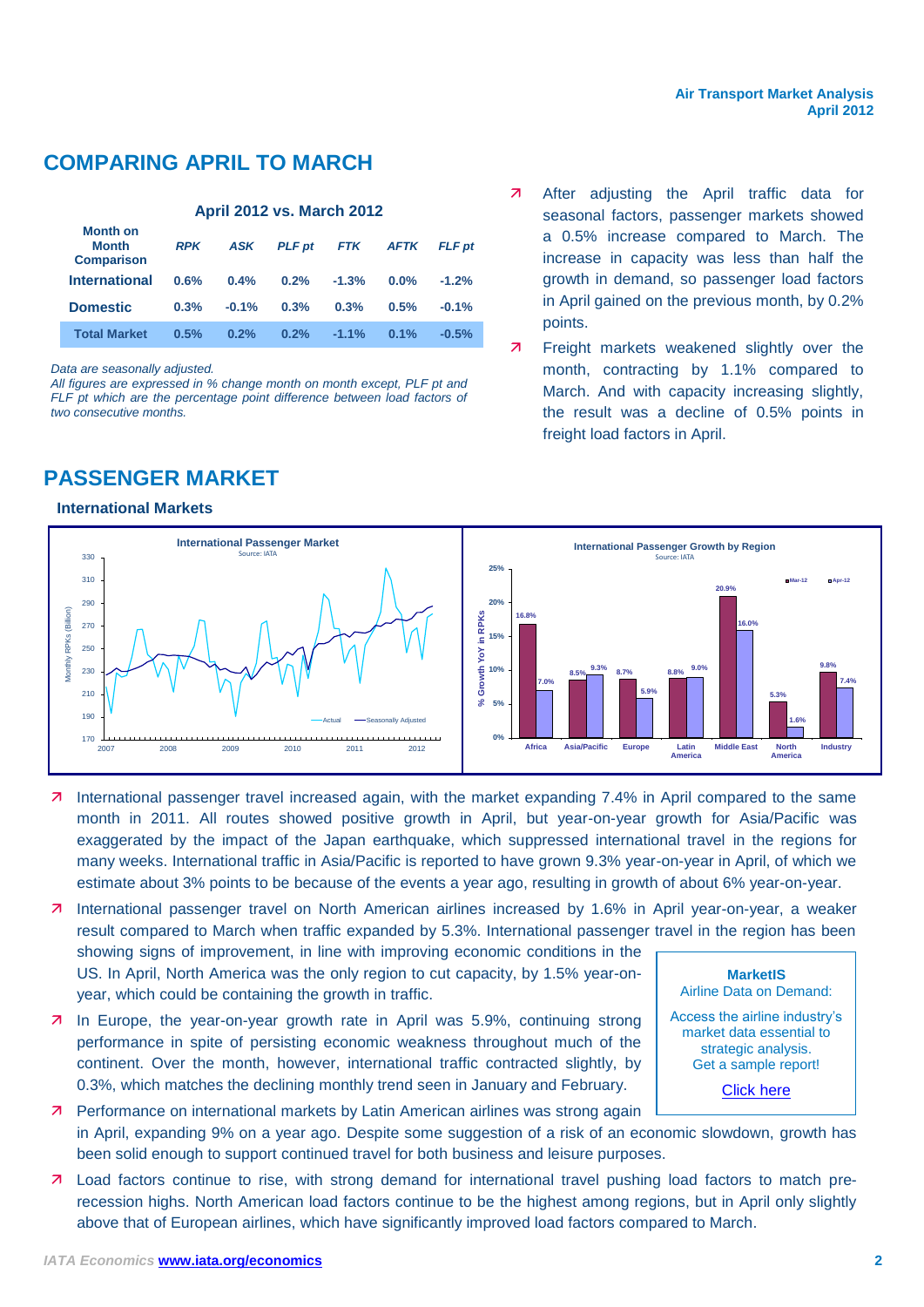## **COMPARING APRIL TO MARCH**

### **April 2012 vs. March 2012 Month on Month Comparison** *RPK ASK PLF pt FTK AFTK FLF pt* **International 0.6% 0.4% 0.2% -1.3% 0.0% -1.2% Domestic 0.3% -0.1% 0.3% 0.3% 0.5% -0.1% Total Market 0.5% 0.2% 0.2% -1.1% 0.1% -0.5%**

*Data are seasonally adjusted.*

*All figures are expressed in % change month on month except, PLF pt and*  FLF pt which are the percentage point difference between load factors of *two consecutive months.*

## **PASSENGER MARKET**

### **International Markets**

- 7 After adjusting the April traffic data for seasonal factors, passenger markets showed a 0.5% increase compared to March. The increase in capacity was less than half the growth in demand, so passenger load factors in April gained on the previous month, by 0.2% points.
- 7 Freight markets weakened slightly over the month, contracting by 1.1% compared to March. And with capacity increasing slightly, the result was a decline of 0.5% points in freight load factors in April.



 International passenger travel increased again, with the market expanding 7.4% in April compared to the same month in 2011. All routes showed positive growth in April, but year-on-year growth for Asia/Pacific was exaggerated by the impact of the Japan earthquake, which suppressed international travel in the regions for many weeks. International traffic in Asia/Pacific is reported to have grown 9.3% year-on-year in April, of which we estimate about 3% points to be because of the events a year ago, resulting in growth of about 6% year-on-year.

7 International passenger travel on North American airlines increased by 1.6% in April year-on-year, a weaker result compared to March when traffic expanded by 5.3%. International passenger travel in the region has been

showing signs of improvement, in line with improving economic conditions in the US. In April, North America was the only region to cut capacity, by 1.5% year-onyear, which could be containing the growth in traffic.

**7** In Europe, the year-on-year growth rate in April was 5.9%, continuing strong performance in spite of persisting economic weakness throughout much of the continent. Over the month, however, international traffic contracted slightly, by 0.3%, which matches the declining monthly trend seen in January and February.

**MarketIS**  Airline Data on Demand: Access the airline industry's market data essential to

> strategic analysis. Get a sample report!

> > [Click here](http://www.iata.org/ps/intelligence_statistics/Pages/marketis.aspx)

- **7** Performance on international markets by Latin American airlines was strong again in April, expanding 9% on a year ago. Despite some suggestion of a risk of an economic slowdown, growth has been solid enough to support continued travel for both business and leisure purposes.
- Load factors continue to rise, with strong demand for international travel pushing load factors to match prerecession highs. North American load factors continue to be the highest among regions, but in April only slightly above that of European airlines, which have significantly improved load factors compared to March.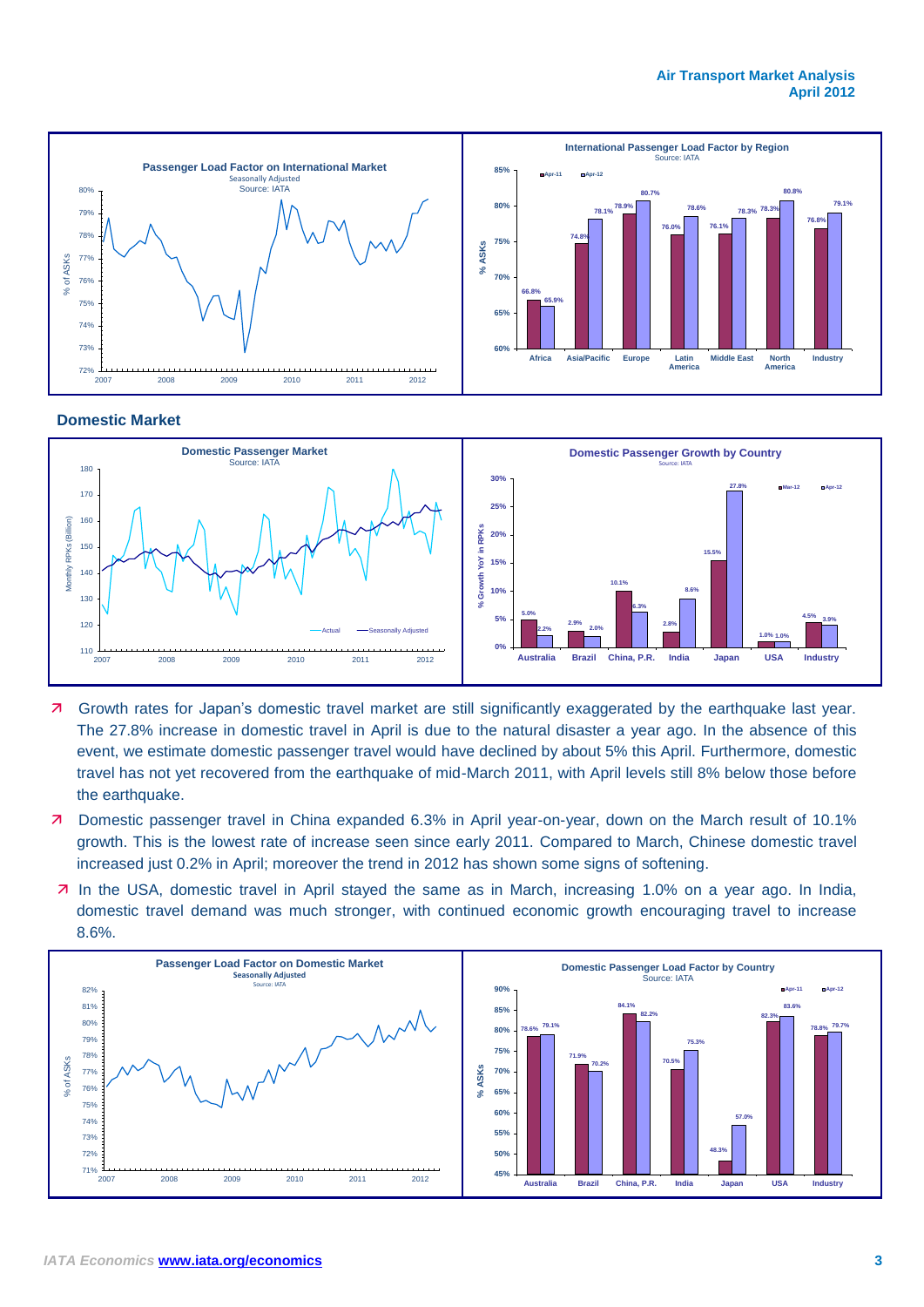

### **Domestic Market**



- **7** Growth rates for Japan's domestic travel market are still significantly exaggerated by the earthquake last year. The 27.8% increase in domestic travel in April is due to the natural disaster a year ago. In the absence of this event, we estimate domestic passenger travel would have declined by about 5% this April. Furthermore, domestic travel has not yet recovered from the earthquake of mid-March 2011, with April levels still 8% below those before the earthquake.
- Domestic passenger travel in China expanded 6.3% in April year-on-year, down on the March result of 10.1% growth. This is the lowest rate of increase seen since early 2011. Compared to March, Chinese domestic travel increased just 0.2% in April; moreover the trend in 2012 has shown some signs of softening.
- In the USA, domestic travel in April stayed the same as in March, increasing 1.0% on a year ago. In India, domestic travel demand was much stronger, with continued economic growth encouraging travel to increase 8.6%.

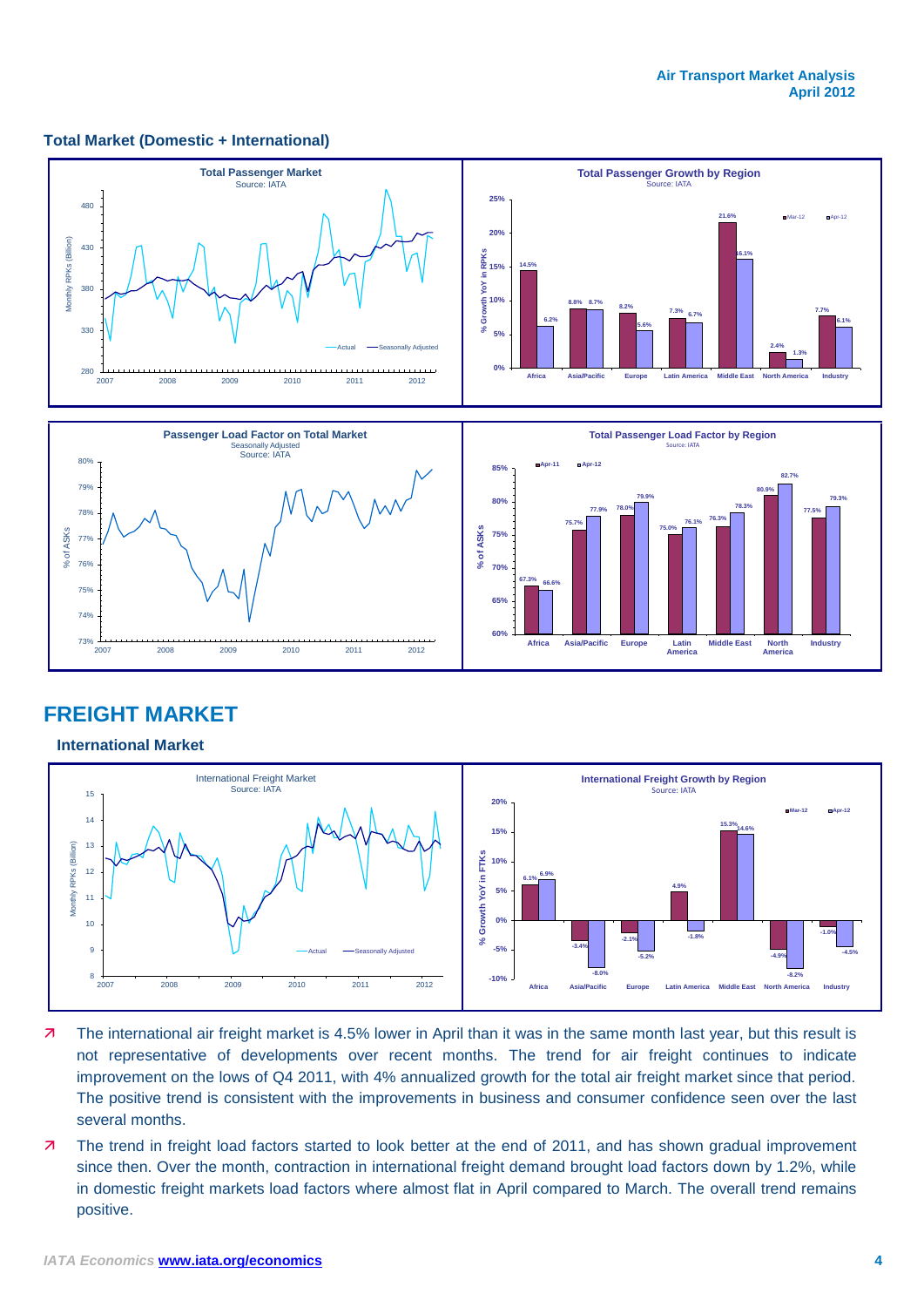### **Total Market (Domestic + International)**



### **FREIGHT MARKET**

### **International Market**



- 7 The international air freight market is 4.5% lower in April than it was in the same month last year, but this result is not representative of developments over recent months. The trend for air freight continues to indicate improvement on the lows of Q4 2011, with 4% annualized growth for the total air freight market since that period. The positive trend is consistent with the improvements in business and consumer confidence seen over the last several months.
- 7 The trend in freight load factors started to look better at the end of 2011, and has shown gradual improvement since then. Over the month, contraction in international freight demand brought load factors down by 1.2%, while in domestic freight markets load factors where almost flat in April compared to March. The overall trend remains positive.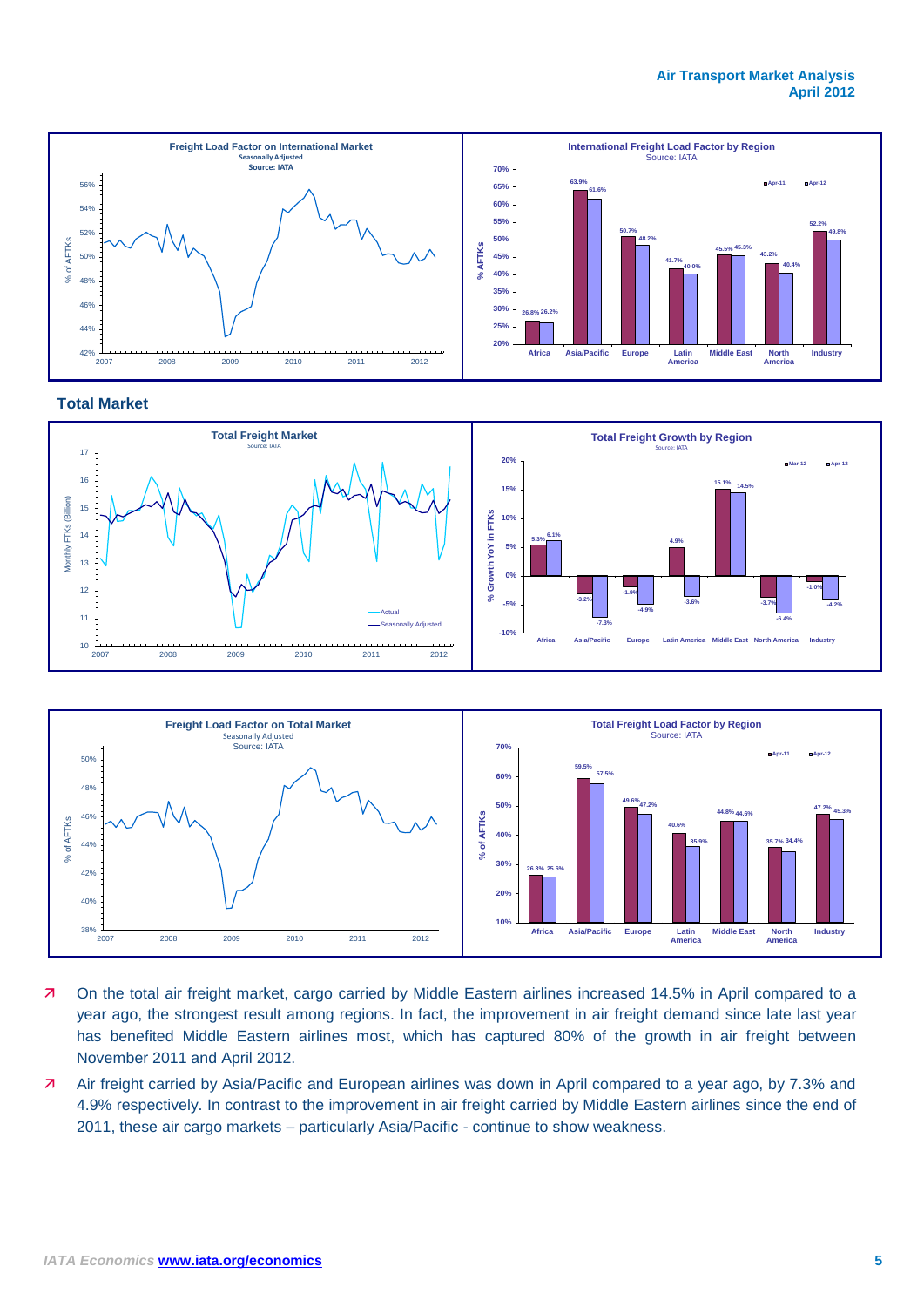#### **Air Transport Market Analysis April 2012**



### **Total Market**





- On the total air freight market, cargo carried by Middle Eastern airlines increased 14.5% in April compared to a year ago, the strongest result among regions. In fact, the improvement in air freight demand since late last year has benefited Middle Eastern airlines most, which has captured 80% of the growth in air freight between November 2011 and April 2012.
- Air freight carried by Asia/Pacific and European airlines was down in April compared to a year ago, by 7.3% and 4.9% respectively. In contrast to the improvement in air freight carried by Middle Eastern airlines since the end of 2011, these air cargo markets – particularly Asia/Pacific - continue to show weakness.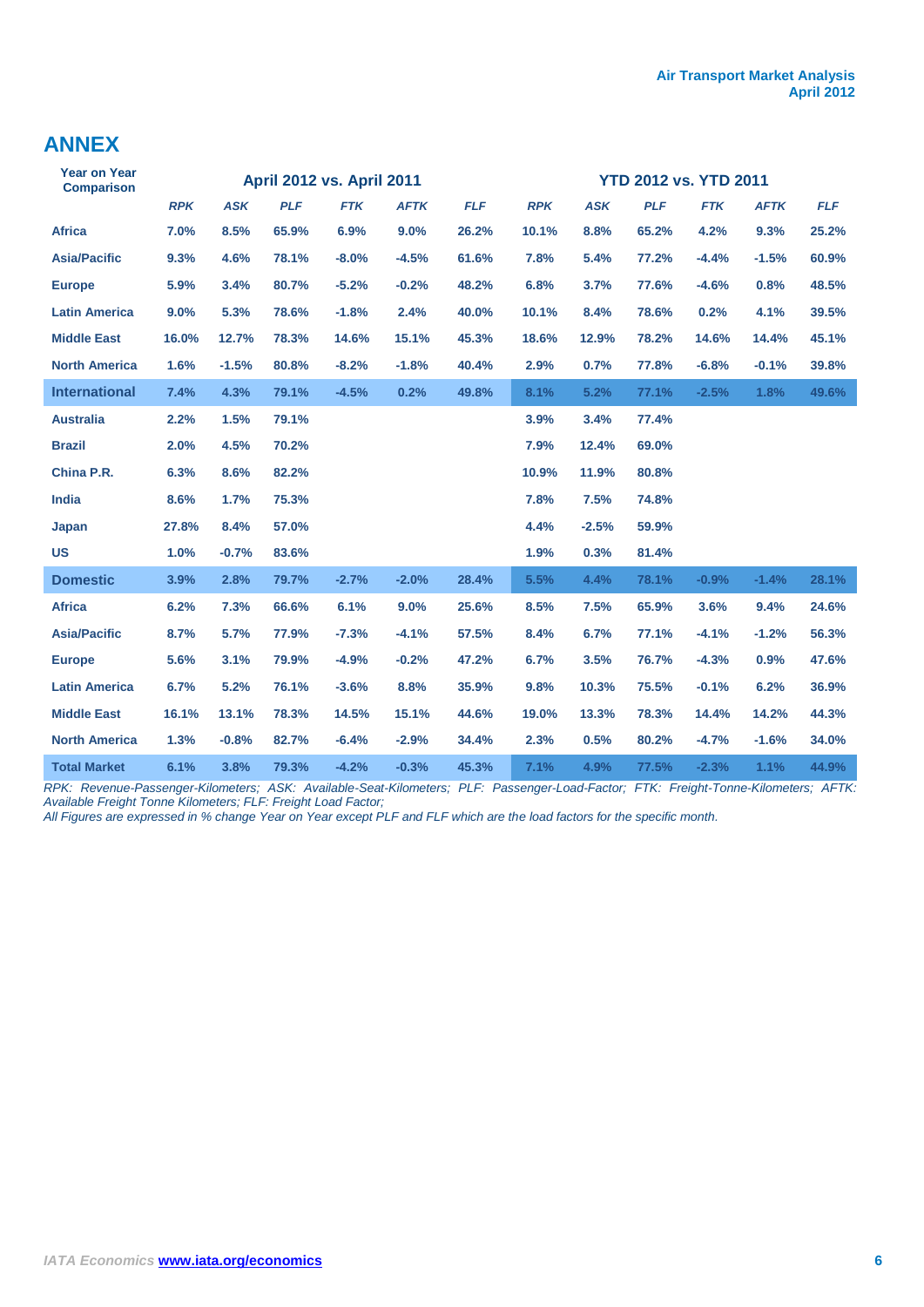### **ANNEX**

| <b>Year on Year</b><br><b>Comparison</b> | <b>April 2012 vs. April 2011</b> |            |            |            |             | <b>YTD 2012 vs. YTD 2011</b> |            |            |            |            |             |            |  |
|------------------------------------------|----------------------------------|------------|------------|------------|-------------|------------------------------|------------|------------|------------|------------|-------------|------------|--|
|                                          | <b>RPK</b>                       | <b>ASK</b> | <b>PLF</b> | <b>FTK</b> | <b>AFTK</b> | <b>FLF</b>                   | <b>RPK</b> | <b>ASK</b> | <b>PLF</b> | <b>FTK</b> | <b>AFTK</b> | <b>FLF</b> |  |
| <b>Africa</b>                            | 7.0%                             | 8.5%       | 65.9%      | 6.9%       | 9.0%        | 26.2%                        | 10.1%      | 8.8%       | 65.2%      | 4.2%       | 9.3%        | 25.2%      |  |
| <b>Asia/Pacific</b>                      | 9.3%                             | 4.6%       | 78.1%      | $-8.0%$    | $-4.5%$     | 61.6%                        | 7.8%       | 5.4%       | 77.2%      | $-4.4%$    | $-1.5%$     | 60.9%      |  |
| <b>Europe</b>                            | 5.9%                             | 3.4%       | 80.7%      | $-5.2%$    | $-0.2%$     | 48.2%                        | 6.8%       | 3.7%       | 77.6%      | $-4.6%$    | 0.8%        | 48.5%      |  |
| <b>Latin America</b>                     | 9.0%                             | 5.3%       | 78.6%      | $-1.8%$    | 2.4%        | 40.0%                        | 10.1%      | 8.4%       | 78.6%      | 0.2%       | 4.1%        | 39.5%      |  |
| <b>Middle East</b>                       | 16.0%                            | 12.7%      | 78.3%      | 14.6%      | 15.1%       | 45.3%                        | 18.6%      | 12.9%      | 78.2%      | 14.6%      | 14.4%       | 45.1%      |  |
| <b>North America</b>                     | 1.6%                             | $-1.5%$    | 80.8%      | $-8.2%$    | $-1.8%$     | 40.4%                        | 2.9%       | 0.7%       | 77.8%      | $-6.8%$    | $-0.1%$     | 39.8%      |  |
| <b>International</b>                     | 7.4%                             | 4.3%       | 79.1%      | $-4.5%$    | 0.2%        | 49.8%                        | 8.1%       | 5.2%       | 77.1%      | $-2.5%$    | 1.8%        | 49.6%      |  |
| <b>Australia</b>                         | 2.2%                             | 1.5%       | 79.1%      |            |             |                              | 3.9%       | 3.4%       | 77.4%      |            |             |            |  |
| <b>Brazil</b>                            | 2.0%                             | 4.5%       | 70.2%      |            |             |                              | 7.9%       | 12.4%      | 69.0%      |            |             |            |  |
| China P.R.                               | 6.3%                             | 8.6%       | 82.2%      |            |             |                              | 10.9%      | 11.9%      | 80.8%      |            |             |            |  |
| India                                    | 8.6%                             | 1.7%       | 75.3%      |            |             |                              | 7.8%       | 7.5%       | 74.8%      |            |             |            |  |
| Japan                                    | 27.8%                            | 8.4%       | 57.0%      |            |             |                              | 4.4%       | $-2.5%$    | 59.9%      |            |             |            |  |
| <b>US</b>                                | 1.0%                             | $-0.7%$    | 83.6%      |            |             |                              | 1.9%       | 0.3%       | 81.4%      |            |             |            |  |
| <b>Domestic</b>                          | 3.9%                             | 2.8%       | 79.7%      | $-2.7%$    | $-2.0%$     | 28.4%                        | 5.5%       | 4.4%       | 78.1%      | $-0.9%$    | $-1.4%$     | 28.1%      |  |
| <b>Africa</b>                            | 6.2%                             | 7.3%       | 66.6%      | 6.1%       | 9.0%        | 25.6%                        | 8.5%       | 7.5%       | 65.9%      | 3.6%       | 9.4%        | 24.6%      |  |
| <b>Asia/Pacific</b>                      | 8.7%                             | 5.7%       | 77.9%      | $-7.3%$    | $-4.1%$     | 57.5%                        | 8.4%       | 6.7%       | 77.1%      | $-4.1%$    | $-1.2%$     | 56.3%      |  |
| <b>Europe</b>                            | 5.6%                             | 3.1%       | 79.9%      | $-4.9%$    | $-0.2%$     | 47.2%                        | 6.7%       | 3.5%       | 76.7%      | $-4.3%$    | 0.9%        | 47.6%      |  |
| <b>Latin America</b>                     | 6.7%                             | 5.2%       | 76.1%      | $-3.6%$    | 8.8%        | 35.9%                        | 9.8%       | 10.3%      | 75.5%      | $-0.1%$    | 6.2%        | 36.9%      |  |
| <b>Middle East</b>                       | 16.1%                            | 13.1%      | 78.3%      | 14.5%      | 15.1%       | 44.6%                        | 19.0%      | 13.3%      | 78.3%      | 14.4%      | 14.2%       | 44.3%      |  |
| <b>North America</b>                     | 1.3%                             | $-0.8%$    | 82.7%      | $-6.4%$    | $-2.9%$     | 34.4%                        | 2.3%       | 0.5%       | 80.2%      | $-4.7%$    | $-1.6%$     | 34.0%      |  |
| <b>Total Market</b>                      | 6.1%                             | 3.8%       | 79.3%      | $-4.2%$    | $-0.3%$     | 45.3%                        | 7.1%       | 4.9%       | 77.5%      | $-2.3%$    | 1.1%        | 44.9%      |  |

*RPK: Revenue-Passenger-Kilometers; ASK: Available-Seat-Kilometers; PLF: Passenger-Load-Factor; FTK: Freight-Tonne-Kilometers; AFTK: Available Freight Tonne Kilometers; FLF: Freight Load Factor;* 

*All Figures are expressed in % change Year on Year except PLF and FLF which are the load factors for the specific month.*